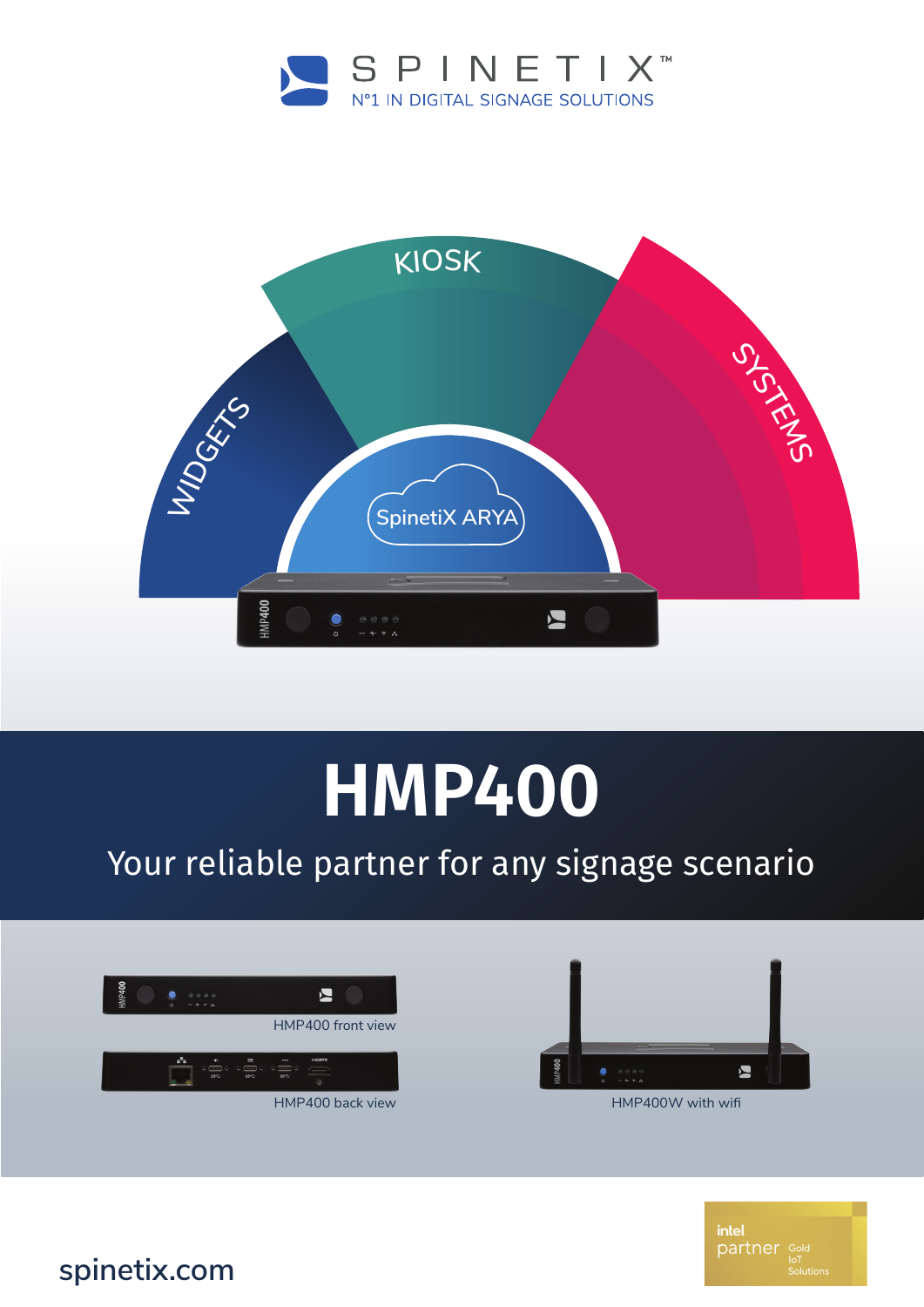



## **HMP400**

## Your reliable partner for any signage scenario





HMP400W with wifi

intel partner Gold

**spinetix.com**